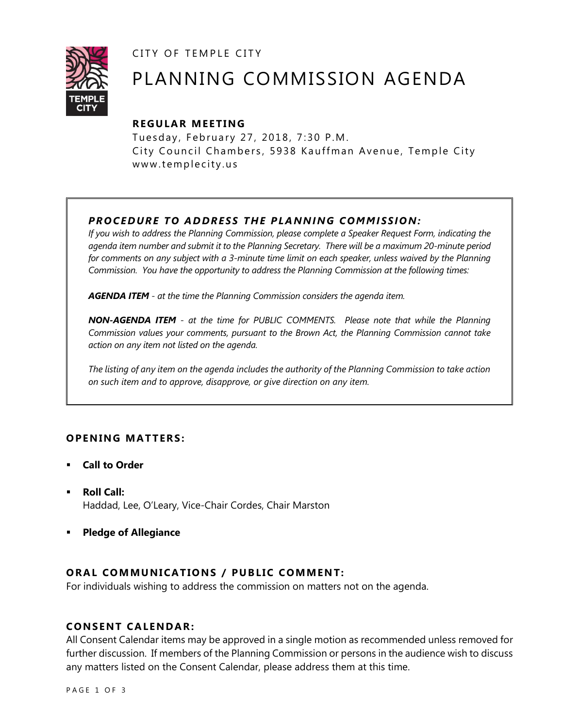CITY OF TEMPLE CITY



# PLANNING COMMISSION AGENDA

# **R EGULA R MEE TING**

Tuesday, February 27, 2018, 7:30 P.M. City Council Chambers, 5938 Kauffman Avenue, Temple City www.templecity.us

# *PRO CE DURE TO ADDRE SS THE P LA NNI NG COMM I SSION:*

*If you wish to address the Planning Commission, please complete a Speaker Request Form, indicating the agenda item number and submit it to the Planning Secretary. There will be a maximum 20-minute period*  for comments on any subject with a 3-minute time limit on each speaker, unless waived by the Planning *Commission. You have the opportunity to address the Planning Commission at the following times:*

*AGENDA ITEM - at the time the Planning Commission considers the agenda item.*

*NON-AGENDA ITEM - at the time for PUBLIC COMMENTS. Please note that while the Planning Commission values your comments, pursuant to the Brown Act, the Planning Commission cannot take action on any item not listed on the agenda.*

*The listing of any item on the agenda includes the authority of the Planning Commission to take action on such item and to approve, disapprove, or give direction on any item.*

## **OPENING MATTERS:**

- **Call to Order**
- **Roll Call:** Haddad, Lee, O'Leary, Vice-Chair Cordes, Chair Marston
- **Pledge of Allegiance**

## **ORAL COMMUNICATIONS / PUBLIC COMMENT:**

For individuals wishing to address the commission on matters not on the agenda.

#### **CONSENT CA LENDAR:**

All Consent Calendar items may be approved in a single motion as recommended unless removed for further discussion. If members of the Planning Commission or persons in the audience wish to discuss any matters listed on the Consent Calendar, please address them at this time.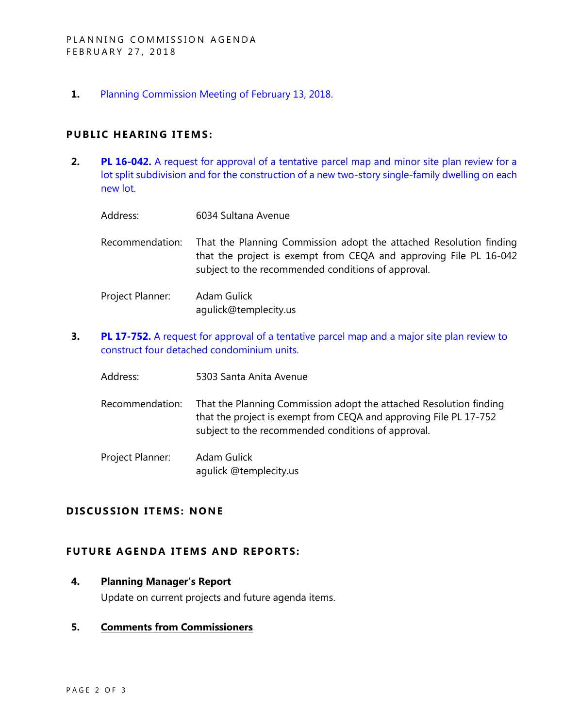**1.** [Planning Commission Meeting of February 13, 2018.](http://www.ci.temple-city.ca.us/DocumentCenter/View/9935)

#### **PUBLIC HEARING ITEMS:**

**2. PL 16-042.** A request for approval of a tentative parcel map and minor site plan review for a [lot split subdivision and for the construction of a new two-story single-family dwelling on each](http://www.ci.temple-city.ca.us/DocumentCenter/View/9936)  [new lot.](http://www.ci.temple-city.ca.us/DocumentCenter/View/9936)

| Address:         | 6034 Sultana Avenue                                                                                                                                                                           |
|------------------|-----------------------------------------------------------------------------------------------------------------------------------------------------------------------------------------------|
| Recommendation:  | That the Planning Commission adopt the attached Resolution finding<br>that the project is exempt from CEQA and approving File PL 16-042<br>subject to the recommended conditions of approval. |
| Project Planner: | Adam Gulick                                                                                                                                                                                   |

**3. PL 17-752.** A request for approval of a tentative parcel map and a major site plan review to [construct four detached condominium units.](http://www.ci.temple-city.ca.us/DocumentCenter/View/9937)

agulick@templecity.us

- Address: 5303 Santa Anita Avenue
- Recommendation: That the Planning Commission adopt the attached Resolution finding that the project is exempt from CEQA and approving File PL 17-752 subject to the recommended conditions of approval.

Project Planner: Adam Gulick agulick @templecity.us

## **D ISCUSSION ITEMS: NONE**

## **FUTURE AGENDA ITEMS AND REPORTS:**

#### **4. Planning Manager's Report**

Update on current projects and future agenda items.

#### **5. Comments from Commissioners**